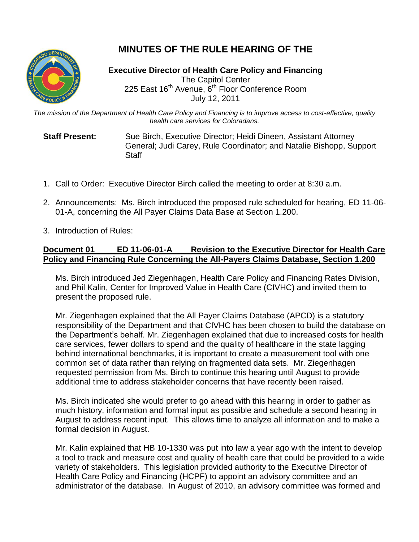

## **MINUTES OF THE RULE HEARING OF THE**

**Executive Director of Health Care Policy and Financing** The Capitol Center 225 East 16<sup>th</sup> Avenue, 6<sup>th</sup> Floor Conference Room July 12, 2011

*The mission of the Department of Health Care Policy and Financing is to improve access to cost-effective, quality health care services for Coloradans.*

**Staff Present:** Sue Birch, Executive Director; Heidi Dineen, Assistant Attorney General; Judi Carey, Rule Coordinator; and Natalie Bishopp, Support **Staff** 

- 1. Call to Order: Executive Director Birch called the meeting to order at 8:30 a.m.
- 2. Announcements: Ms. Birch introduced the proposed rule scheduled for hearing, ED 11-06- 01-A, concerning the All Payer Claims Data Base at Section 1.200.
- 3. Introduction of Rules:

## **Document 01 ED 11-06-01-A Revision to the Executive Director for Health Care Policy and Financing Rule Concerning the All-Payers Claims Database, Section 1.200**

Ms. Birch introduced Jed Ziegenhagen, Health Care Policy and Financing Rates Division, and Phil Kalin, Center for Improved Value in Health Care (CIVHC) and invited them to present the proposed rule.

Mr. Ziegenhagen explained that the All Payer Claims Database (APCD) is a statutory responsibility of the Department and that CIVHC has been chosen to build the database on the Department's behalf. Mr. Ziegenhagen explained that due to increased costs for health care services, fewer dollars to spend and the quality of healthcare in the state lagging behind international benchmarks, it is important to create a measurement tool with one common set of data rather than relying on fragmented data sets. Mr. Ziegenhagen requested permission from Ms. Birch to continue this hearing until August to provide additional time to address stakeholder concerns that have recently been raised.

Ms. Birch indicated she would prefer to go ahead with this hearing in order to gather as much history, information and formal input as possible and schedule a second hearing in August to address recent input. This allows time to analyze all information and to make a formal decision in August.

Mr. Kalin explained that HB 10-1330 was put into law a year ago with the intent to develop a tool to track and measure cost and quality of health care that could be provided to a wide variety of stakeholders. This legislation provided authority to the Executive Director of Health Care Policy and Financing (HCPF) to appoint an advisory committee and an administrator of the database. In August of 2010, an advisory committee was formed and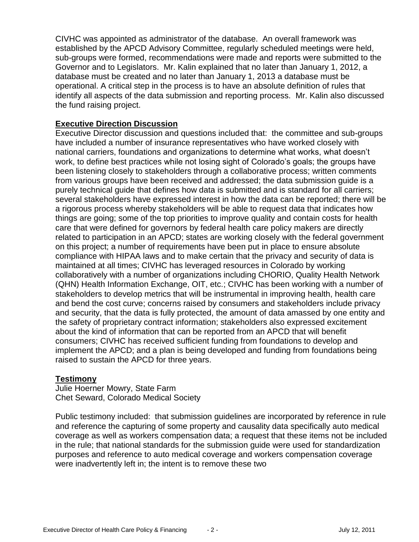CIVHC was appointed as administrator of the database. An overall framework was established by the APCD Advisory Committee, regularly scheduled meetings were held, sub-groups were formed, recommendations were made and reports were submitted to the Governor and to Legislators. Mr. Kalin explained that no later than January 1, 2012, a database must be created and no later than January 1, 2013 a database must be operational. A critical step in the process is to have an absolute definition of rules that identify all aspects of the data submission and reporting process. Mr. Kalin also discussed the fund raising project.

## **Executive Direction Discussion**

Executive Director discussion and questions included that: the committee and sub-groups have included a number of insurance representatives who have worked closely with national carriers, foundations and organizations to determine what works, what doesn't work, to define best practices while not losing sight of Colorado's goals; the groups have been listening closely to stakeholders through a collaborative process; written comments from various groups have been received and addressed; the data submission guide is a purely technical guide that defines how data is submitted and is standard for all carriers; several stakeholders have expressed interest in how the data can be reported; there will be a rigorous process whereby stakeholders will be able to request data that indicates how things are going; some of the top priorities to improve quality and contain costs for health care that were defined for governors by federal health care policy makers are directly related to participation in an APCD; states are working closely with the federal government on this project; a number of requirements have been put in place to ensure absolute compliance with HIPAA laws and to make certain that the privacy and security of data is maintained at all times; CIVHC has leveraged resources in Colorado by working collaboratively with a number of organizations including CHORIO, Quality Health Network (QHN) Health Information Exchange, OIT, etc.; CIVHC has been working with a number of stakeholders to develop metrics that will be instrumental in improving health, health care and bend the cost curve; concerns raised by consumers and stakeholders include privacy and security, that the data is fully protected, the amount of data amassed by one entity and the safety of proprietary contract information; stakeholders also expressed excitement about the kind of information that can be reported from an APCD that will benefit consumers; CIVHC has received sufficient funding from foundations to develop and implement the APCD; and a plan is being developed and funding from foundations being raised to sustain the APCD for three years.

## **Testimony**

Julie Hoerner Mowry, State Farm Chet Seward, Colorado Medical Society

Public testimony included: that submission guidelines are incorporated by reference in rule and reference the capturing of some property and causality data specifically auto medical coverage as well as workers compensation data; a request that these items not be included in the rule; that national standards for the submission guide were used for standardization purposes and reference to auto medical coverage and workers compensation coverage were inadvertently left in; the intent is to remove these two